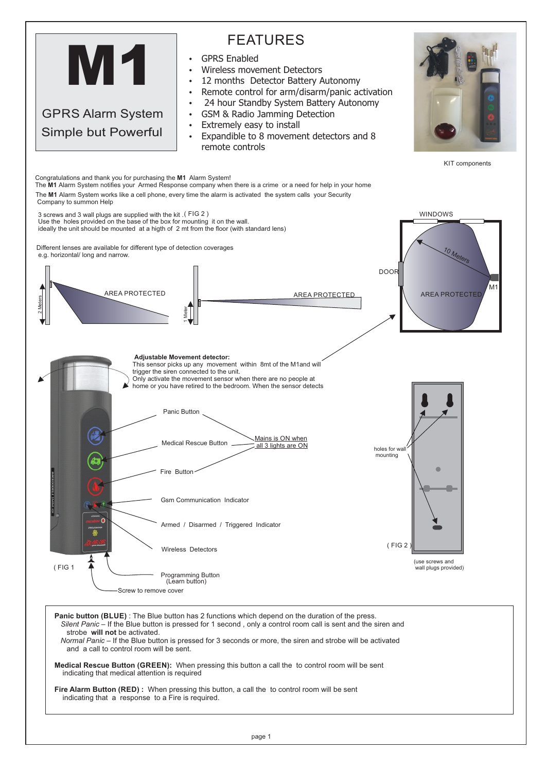